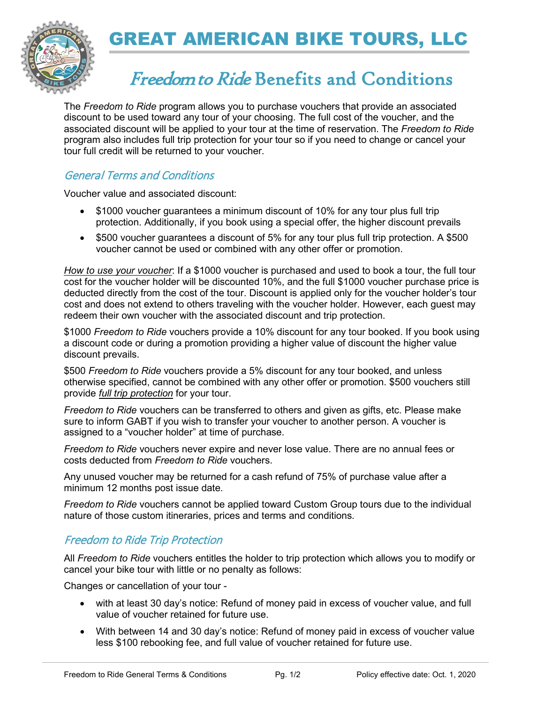

# GREAT AMERICAN BIKE TOURS, LLC

### Freedom to Ride Benefits and Conditions

The *Freedom to Ride* program allows you to purchase vouchers that provide an associated discount to be used toward any tour of your choosing. The full cost of the voucher, and the associated discount will be applied to your tour at the time of reservation. The *Freedom to Ride* program also includes full trip protection for your tour so if you need to change or cancel your tour full credit will be returned to your voucher.

### General Terms and Conditions

Voucher value and associated discount:

- \$1000 voucher guarantees a minimum discount of 10% for any tour plus full trip protection. Additionally, if you book using a special offer, the higher discount prevails
- \$500 voucher guarantees a discount of 5% for any tour plus full trip protection. A \$500 voucher cannot be used or combined with any other offer or promotion.

*How to use your voucher*: If a \$1000 voucher is purchased and used to book a tour, the full tour cost for the voucher holder will be discounted 10%, and the full \$1000 voucher purchase price is deducted directly from the cost of the tour. Discount is applied only for the voucher holder's tour cost and does not extend to others traveling with the voucher holder. However, each guest may redeem their own voucher with the associated discount and trip protection.

\$1000 *Freedom to Ride* vouchers provide a 10% discount for any tour booked. If you book using a discount code or during a promotion providing a higher value of discount the higher value discount prevails.

\$500 *Freedom to Ride* vouchers provide a 5% discount for any tour booked, and unless otherwise specified, cannot be combined with any other offer or promotion. \$500 vouchers still provide *full trip protection* for your tour.

*Freedom to Ride* vouchers can be transferred to others and given as gifts, etc. Please make sure to inform GABT if you wish to transfer your voucher to another person. A voucher is assigned to a "voucher holder" at time of purchase.

*Freedom to Ride* vouchers never expire and never lose value. There are no annual fees or costs deducted from *Freedom to Ride* vouchers.

Any unused voucher may be returned for a cash refund of 75% of purchase value after a minimum 12 months post issue date.

*Freedom to Ride* vouchers cannot be applied toward Custom Group tours due to the individual nature of those custom itineraries, prices and terms and conditions.

#### Freedom to Ride Trip Protection

All *Freedom to Ride* vouchers entitles the holder to trip protection which allows you to modify or cancel your bike tour with little or no penalty as follows:

Changes or cancellation of your tour -

- with at least 30 day's notice: Refund of money paid in excess of voucher value, and full value of voucher retained for future use.
- With between 14 and 30 day's notice: Refund of money paid in excess of voucher value less \$100 rebooking fee, and full value of voucher retained for future use.